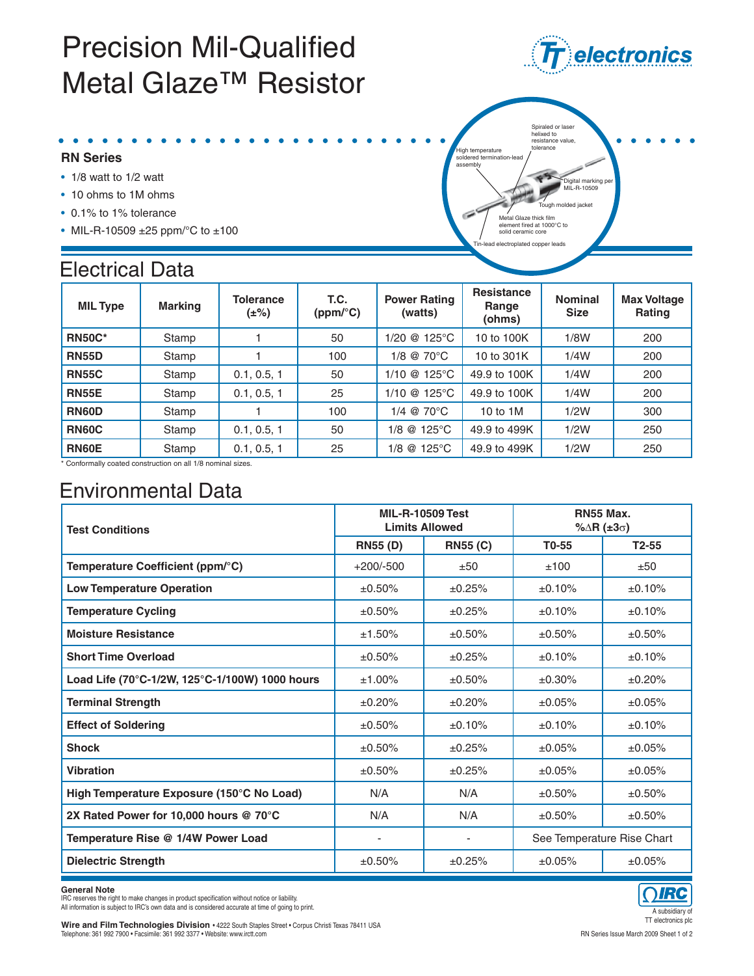## **Precision Mil-Qualified** Metal Glaze™ Resistor

- **RN Series**
- 1/8 watt to 1/2 watt
- 10 ohms to 1M ohms
- 0.1% to 1% tolerance
- MIL-R-10509 ±25 ppm/°C to ±100

### Electrical Data

| <b>MIL Type</b> | <b>Marking</b> | <b>Tolerance</b><br>$(\pm\%)$ | T.C.<br>(ppm/°C) | <b>Power Rating</b><br>(watts) | <b>Resistance</b><br>Range<br>(ohms) | <b>Nominal</b><br><b>Size</b> | <b>Max Voltage</b><br>Rating |
|-----------------|----------------|-------------------------------|------------------|--------------------------------|--------------------------------------|-------------------------------|------------------------------|
| <b>RN50C*</b>   | Stamp          |                               | 50               | 1/20 @ 125°C                   | 10 to 100K                           | 1/8W                          | 200                          |
| <b>RN55D</b>    | Stamp          |                               | 100              | 1/8 @ 70°C                     | 10 to 301K                           | 1/4W                          | 200                          |
| <b>RN55C</b>    | Stamp          | 0.1, 0.5, 1                   | 50               | $1/10$ @ 125°C                 | 49.9 to 100K                         | 1/4W                          | 200                          |
| <b>RN55E</b>    | Stamp          | 0.1, 0.5, 1                   | 25               | $1/10$ @ $125^{\circ}$ C       | 49.9 to 100K                         | 1/4W                          | 200                          |
| <b>RN60D</b>    | Stamp          |                               | 100              | $1/4$ @ 70 $^{\circ}$ C        | 10 to 1M                             | 1/2W                          | 300                          |
| <b>RN60C</b>    | Stamp          | 0.1, 0.5, 1                   | 50               | 1/8 @ 125°C                    | 49.9 to 499K                         | 1/2W                          | 250                          |
| <b>RN60E</b>    | Stamp          | 0.1, 0.5, 1                   | 25               | 1/8 @ 125°C                    | 49.9 to 499K                         | 1/2W                          | 250                          |

\* Conformally coated construction on all 1/8 nominal sizes.

### Environmental Data

| <b>Test Conditions</b>                         |                 | <b>MIL-R-10509 Test</b><br><b>Limits Allowed</b> | <b>RN55 Max.</b><br>% $\Delta$ R (±3 $\sigma$ ) |                            |  |
|------------------------------------------------|-----------------|--------------------------------------------------|-------------------------------------------------|----------------------------|--|
|                                                | <b>RN55 (D)</b> | <b>RN55 (C)</b>                                  | T0-55                                           | $T2-55$                    |  |
| Temperature Coefficient (ppm/°C)               | $+200/-500$     | ±50                                              | ±100                                            | ±50                        |  |
| <b>Low Temperature Operation</b>               | ±0.50%          | ±0.25%                                           | ±0.10%                                          | ±0.10%                     |  |
| <b>Temperature Cycling</b>                     | $±0.50\%$       | ±0.25%                                           | ±0.10%                                          | ±0.10%                     |  |
| <b>Moisture Resistance</b>                     | ±1.50%          | ±0.50%                                           | ±0.50%                                          | ±0.50%                     |  |
| <b>Short Time Overload</b>                     | ±0.50%          | ±0.25%                                           | ±0.10%                                          | ±0.10%                     |  |
| Load Life (70°C-1/2W, 125°C-1/100W) 1000 hours | $±1.00\%$       | $±0.50\%$                                        | $±0.30\%$                                       | ±0.20%                     |  |
| <b>Terminal Strength</b>                       | ±0.20%          | ±0.20%                                           | ±0.05%                                          | ±0.05%                     |  |
| <b>Effect of Soldering</b>                     | ±0.50%          | ±0.10%                                           | ±0.10%                                          | ±0.10%                     |  |
| <b>Shock</b>                                   | ±0.50%          | ±0.25%                                           | ±0.05%                                          | ±0.05%                     |  |
| <b>Vibration</b>                               | ±0.50%          | ±0.25%                                           | ±0.05%                                          | ±0.05%                     |  |
| High Temperature Exposure (150°C No Load)      | N/A             | N/A                                              | ±0.50%                                          | ±0.50%                     |  |
| 2X Rated Power for 10,000 hours @ 70°C         | N/A             | N/A                                              | ±0.50%                                          | ±0.50%                     |  |
| Temperature Rise @ 1/4W Power Load             |                 | ٠                                                |                                                 | See Temperature Rise Chart |  |
| <b>Dielectric Strength</b>                     | ±0.50%          | ±0.25%                                           | ±0.05%                                          | ±0.05%                     |  |

General Note<br>IRC reserves the right to make changes in product specification without notice or liability.

All information is subject to IRC's own data and is considered accurate at time of going to print.<br>
A subsidiary of the considered accurate at time of going to print.<br>
The electronics of the considered accurate at time of **Wire and Film Technologies Division •** 4222 South Staples Street • Corpus Christi Texas 78411 USA<br>1 Rephone: 361 992 7900 • Facsimile: 361 992 3377 • Website: www.irctt.com وWire the Staple of a state of 2009 Sheet 1 of